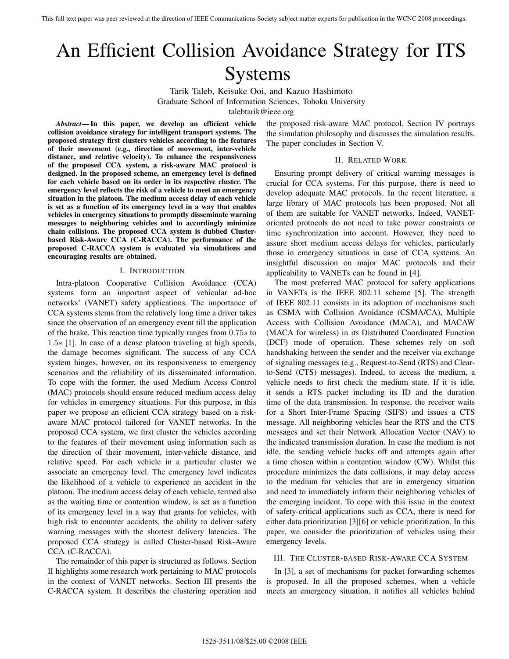# An Efficient Collision Avoidance Strategy for ITS Systems

Tarik Taleb, Keisuke Ooi, and Kazuo Hashimoto Graduate School of Information Sciences, Tohoku University talebtarik@ieee.org

*Abstract***— In this paper, we develop an efficient vehicle collision avoidance strategy for intelligent transport systems. The proposed strategy first clusters vehicles according to the features of their movement (e.g., direction of movement, inter-vehicle distance, and relative velocity). To enhance the responsiveness of the proposed CCA system, a risk-aware MAC protocol is designed. In the proposed scheme, an emergency level is defined for each vehicle based on its order in its respective cluster. The emergency level reflects the risk of a vehicle to meet an emergency situation in the platoon. The medium access delay of each vehicle is set as a function of its emergency level in a way that enables vehicles in emergency situations to promptly disseminate warning messages to neighboring vehicles and to accordingly minimize chain collisions. The proposed CCA system is dubbed Clusterbased Risk-Aware CCA (C-RACCA). The performance of the proposed C-RACCA system is evaluated via simulations and encouraging results are obtained.**

#### I. INTRODUCTION

Intra-platoon Cooperative Collision Avoidance (CCA) systems form an important aspect of vehicular ad-hoc networks' (VANET) safety applications. The importance of CCA systems stems from the relatively long time a driver takes since the observation of an emergency event till the application of the brake. This reaction time typically ranges from 0.75s to 1.5s [1]. In case of a dense platoon traveling at high speeds, the damage becomes significant. The success of any CCA system hinges, however, on its responsiveness to emergency scenarios and the reliability of its disseminated information. To cope with the former, the used Medium Access Control (MAC) protocols should ensure reduced medium access delay for vehicles in emergency situations. For this purpose, in this paper we propose an efficient CCA strategy based on a riskaware MAC protocol tailored for VANET networks. In the proposed CCA system, we first cluster the vehicles according to the features of their movement using information such as the direction of their movement, inter-vehicle distance, and relative speed. For each vehicle in a particular cluster we associate an emergency level. The emergency level indicates the likelihood of a vehicle to experience an accident in the platoon. The medium access delay of each vehicle, termed also as the waiting time or contention window, is set as a function of its emergency level in a way that grants for vehicles, with high risk to encounter accidents, the ability to deliver safety warning messages with the shortest delivery latencies. The proposed CCA strategy is called Cluster-based Risk-Aware CCA (C-RACCA).

The remainder of this paper is structured as follows. Section II highlights some research work pertaining to MAC protocols in the context of VANET networks. Section III presents the C-RACCA system. It describes the clustering operation and the proposed risk-aware MAC protocol. Section IV portrays the simulation philosophy and discusses the simulation results. The paper concludes in Section V.

#### II. RELATED WORK

Ensuring prompt delivery of critical warning messages is crucial for CCA systems. For this purpose, there is need to develop adequate MAC protocols. In the recent literature, a large library of MAC protocols has been proposed. Not all of them are suitable for VANET networks. Indeed, VANEToriented protocols do not need to take power constraints or time synchronization into account. However, they need to assure short medium access delays for vehicles, particularly those in emergency situations in case of CCA systems. An insightful discussion on major MAC protocols and their applicability to VANETs can be found in [4].

The most preferred MAC protocol for safety applications in VANETs is the IEEE 802.11 scheme [5]. The strength of IEEE 802.11 consists in its adoption of mechanisms such as CSMA with Collision Avoidance (CSMA/CA), Multiple Access with Collision Avoidance (MACA), and MACAW (MACA for wireless) in its Distributed Coordinated Function (DCF) mode of operation. These schemes rely on soft handshaking between the sender and the receiver via exchange of signaling messages (e.g., Request-to-Send (RTS) and Clearto-Send (CTS) messages). Indeed, to access the medium, a vehicle needs to first check the medium state. If it is idle, it sends a RTS packet including its ID and the duration time of the data transmission. In response, the receiver waits for a Short Inter-Frame Spacing (SIFS) and issues a CTS message. All neighboring vehicles hear the RTS and the CTS messages and set their Network Allocation Vector (NAV) to the indicated transmission duration. In case the medium is not idle, the sending vehicle backs off and attempts again after a time chosen within a contention window (CW). Whilst this procedure minimizes the data collisions, it may delay access to the medium for vehicles that are in emergency situation and need to immediately inform their neighboring vehicles of the emerging incident. To cope with this issue in the context of safety-critical applications such as CCA, there is need for either data prioritization [3][6] or vehicle prioritization. In this paper, we consider the prioritization of vehicles using their emergency levels.

### III. THE CLUSTER-BASED RISK-AWARE CCA SYSTEM

In [3], a set of mechanisms for packet forwarding schemes is proposed. In all the proposed schemes, when a vehicle meets an emergency situation, it notifies all vehicles behind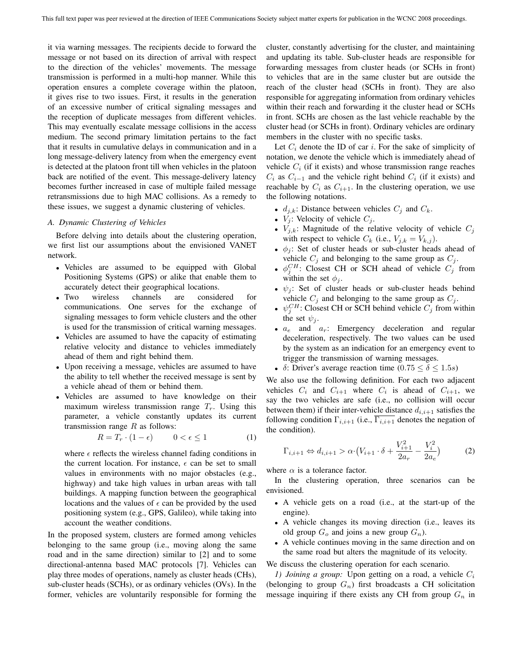it via warning messages. The recipients decide to forward the message or not based on its direction of arrival with respect to the direction of the vehicles' movements. The message transmission is performed in a multi-hop manner. While this operation ensures a complete coverage within the platoon, it gives rise to two issues. First, it results in the generation of an excessive number of critical signaling messages and the reception of duplicate messages from different vehicles. This may eventually escalate message collisions in the access medium. The second primary limitation pertains to the fact that it results in cumulative delays in communication and in a long message-delivery latency from when the emergency event is detected at the platoon front till when vehicles in the platoon back are notified of the event. This message-delivery latency becomes further increased in case of multiple failed message retransmissions due to high MAC collisions. As a remedy to these issues, we suggest a dynamic clustering of vehicles.

#### *A. Dynamic Clustering of Vehicles*

Before delving into details about the clustering operation, we first list our assumptions about the envisioned VANET network.

- Vehicles are assumed to be equipped with Global Positioning Systems (GPS) or alike that enable them to accurately detect their geographical locations.
- Two wireless channels are considered for communications. One serves for the exchange of signaling messages to form vehicle clusters and the other is used for the transmission of critical warning messages.
- Vehicles are assumed to have the capacity of estimating relative velocity and distance to vehicles immediately ahead of them and right behind them.
- Upon receiving a message, vehicles are assumed to have the ability to tell whether the received message is sent by a vehicle ahead of them or behind them.
- Vehicles are assumed to have knowledge on their maximum wireless transmission range  $T_r$ . Using this parameter, a vehicle constantly updates its current transmission range  $R$  as follows:

$$
R = T_r \cdot (1 - \epsilon) \qquad 0 < \epsilon \le 1 \tag{1}
$$

where  $\epsilon$  reflects the wireless channel fading conditions in the current location. For instance,  $\epsilon$  can be set to small values in environments with no major obstacles (e.g., highway) and take high values in urban areas with tall buildings. A mapping function between the geographical locations and the values of  $\epsilon$  can be provided by the used positioning system (e.g., GPS, Galileo), while taking into account the weather conditions.

In the proposed system, clusters are formed among vehicles belonging to the same group (i.e., moving along the same road and in the same direction) similar to [2] and to some directional-antenna based MAC protocols [7]. Vehicles can play three modes of operations, namely as cluster heads (CHs), sub-cluster heads (SCHs), or as ordinary vehicles (OVs). In the former, vehicles are voluntarily responsible for forming the cluster, constantly advertising for the cluster, and maintaining and updating its table. Sub-cluster heads are responsible for forwarding messages from cluster heads (or SCHs in front) to vehicles that are in the same cluster but are outside the reach of the cluster head (SCHs in front). They are also responsible for aggregating information from ordinary vehicles within their reach and forwarding it the cluster head or SCHs in front. SCHs are chosen as the last vehicle reachable by the cluster head (or SCHs in front). Ordinary vehicles are ordinary members in the cluster with no specific tasks.

Let  $C_i$  denote the ID of car i. For the sake of simplicity of notation, we denote the vehicle which is immediately ahead of vehicle  $C_i$  (if it exists) and whose transmission range reaches  $C_i$  as  $C_{i-1}$  and the vehicle right behind  $C_i$  (if it exists) and reachable by  $C_i$  as  $C_{i+1}$ . In the clustering operation, we use the following notations.

- $d_{j,k}$ : Distance between vehicles  $C_j$  and  $C_k$ .
- $V_j$ : Velocity of vehicle  $C_j$ .
- $V_{j,k}$ : Magnitude of the relative velocity of vehicle  $C_j$ with respect to vehicle  $C_k$  (i.e.,  $V_{j,k} = V_{k,j}$ ).
- $\phi_i$ : Set of cluster heads or sub-cluster heads ahead of vehicle  $C_j$  and belonging to the same group as  $C_j$ .
- $\phi_j^C$ . Closest CH or SCH ahead of vehicle  $C_j$  from within the set  $\phi_j$ .
- $\psi_i$ : Set of cluster heads or sub-cluster heads behind vehicle  $C_j$  and belonging to the same group as  $C_j$ .
- $\psi_j^{CH}$ : Closest CH or SCH behind vehicle  $C_j$  from within the set  $\psi_i$ .
- $a_e$  and  $a_r$ : Emergency deceleration and regular deceleration, respectively. The two values can be used by the system as an indication for an emergency event to trigger the transmission of warning messages.
- δ: Driver's average reaction time  $(0.75 \le \delta \le 1.5s)$

We also use the following definition. For each two adjacent vehicles  $C_i$  and  $C_{i+1}$  where  $C_i$  is ahead of  $C_{i+1}$ , we say the two vehicles are safe (i.e., no collision will occur between them) if their inter-vehicle distance  $d_{i,i+1}$  satisfies the following condition  $\Gamma_{i,i+1}$  (i.e.,  $\overline{\Gamma_{i,i+1}}$  denotes the negation of the condition).

$$
\Gamma_{i,i+1} \Leftrightarrow d_{i,i+1} > \alpha \cdot \left(V_{i+1} \cdot \delta + \frac{V_{i+1}^2}{2a_r} - \frac{V_i^2}{2a_e}\right) \tag{2}
$$

where  $\alpha$  is a tolerance factor.

In the clustering operation, three scenarios can be envisioned.

- A vehicle gets on a road (i.e., at the start-up of the engine).
- A vehicle changes its moving direction (i.e., leaves its old group  $G_o$  and joins a new group  $G_n$ ).
- A vehicle continues moving in the same direction and on the same road but alters the magnitude of its velocity.

We discuss the clustering operation for each scenario.

*1) Joining a group:* Upon getting on a road, a vehicle  $C_i$ (belonging to group  $G_n$ ) first broadcasts a CH solicitation message inquiring if there exists any CH from group  $G_n$  in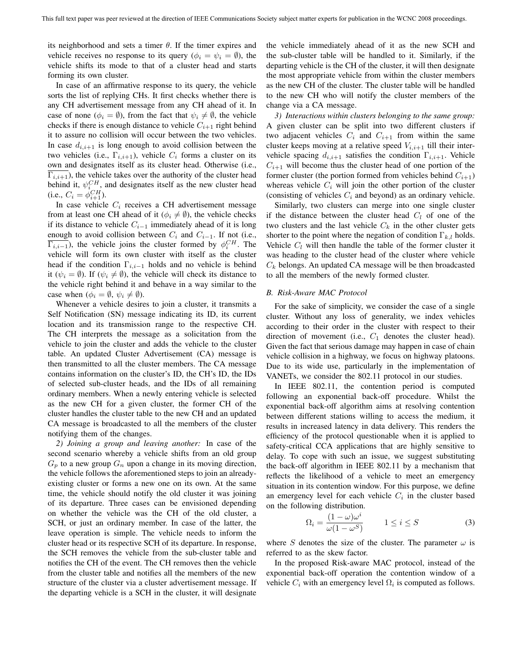its neighborhood and sets a timer  $\theta$ . If the timer expires and vehicle receives no response to its query ( $\phi_i = \psi_i = \emptyset$ ), the vehicle shifts its mode to that of a cluster head and starts forming its own cluster.

In case of an affirmative response to its query, the vehicle sorts the list of replying CHs. It first checks whether there is any CH advertisement message from any CH ahead of it. In case of none ( $\phi_i = \emptyset$ ), from the fact that  $\psi_i \neq \emptyset$ , the vehicle checks if there is enough distance to vehicle  $C_{i+1}$  right behind it to assure no collision will occur between the two vehicles. In case  $d_{i,i+1}$  is long enough to avoid collision between the two vehicles (i.e.,  $\Gamma_{i,i+1}$ ), vehicle  $C_i$  forms a cluster on its own and designates itself as its cluster head. Otherwise (i.e.,  $\Gamma_{i,i+1}$ , the vehicle takes over the authority of the cluster head behind it,  $\psi_{i}^{CH}$ , and designates itself as the new cluster head (i.e.,  $C_i = \phi_{i+1}^{CH}$ ).

In case vehicle  $C_i$  receives a CH advertisement message from at least one CH ahead of it ( $\phi_i \neq \emptyset$ ), the vehicle checks if its distance to vehicle  $C_{i-1}$  immediately ahead of it is long enough to avoid collision between  $C_i$  and  $C_{i-1}$ . If not (i.e.,  $\overline{\Gamma_{i,i-1}}$ ), the vehicle joins the cluster formed by  $\phi_i^{CH}$ . The vehicle will form its own cluster with itself as the cluster head if the condition  $\Gamma_{i,i-1}$  holds and no vehicle is behind it  $(\psi_i = \emptyset)$ . If  $(\psi_i \neq \emptyset)$ , the vehicle will check its distance to the vehicle right behind it and behave in a way similar to the case when  $(\phi_i = \emptyset, \psi_i \neq \emptyset)$ .

Whenever a vehicle desires to join a cluster, it transmits a Self Notification (SN) message indicating its ID, its current location and its transmission range to the respective CH. The CH interprets the message as a solicitation from the vehicle to join the cluster and adds the vehicle to the cluster table. An updated Cluster Advertisement (CA) message is then transmitted to all the cluster members. The CA message contains information on the cluster's ID, the CH's ID, the IDs of selected sub-cluster heads, and the IDs of all remaining ordinary members. When a newly entering vehicle is selected as the new CH for a given cluster, the former CH of the cluster handles the cluster table to the new CH and an updated CA message is broadcasted to all the members of the cluster notifying them of the changes.

*2) Joining a group and leaving another:* In case of the second scenario whereby a vehicle shifts from an old group  $G_p$  to a new group  $G_n$  upon a change in its moving direction, the vehicle follows the aforementioned steps to join an alreadyexisting cluster or forms a new one on its own. At the same time, the vehicle should notify the old cluster it was joining of its departure. Three cases can be envisioned depending on whether the vehicle was the CH of the old cluster, a SCH, or just an ordinary member. In case of the latter, the leave operation is simple. The vehicle needs to inform the cluster head or its respective SCH of its departure. In response, the SCH removes the vehicle from the sub-cluster table and notifies the CH of the event. The CH removes then the vehicle from the cluster table and notifies all the members of the new structure of the cluster via a cluster advertisement message. If the departing vehicle is a SCH in the cluster, it will designate

the vehicle immediately ahead of it as the new SCH and the sub-cluster table will be handled to it. Similarly, if the departing vehicle is the CH of the cluster, it will then designate the most appropriate vehicle from within the cluster members as the new CH of the cluster. The cluster table will be handled to the new CH who will notify the cluster members of the change via a CA message.

*3) Interactions within clusters belonging to the same group:* A given cluster can be split into two different clusters if two adjacent vehicles  $C_i$  and  $C_{i+1}$  from within the same cluster keeps moving at a relative speed  $V_{i,i+1}$  till their intervehicle spacing  $d_{i,i+1}$  satisfies the condition  $\Gamma_{i,i+1}$ . Vehicle  $C_{i+1}$  will become thus the cluster head of one portion of the former cluster (the portion formed from vehicles behind  $C_{i+1}$ ) whereas vehicle  $C_i$  will join the other portion of the cluster (consisting of vehicles  $C_i$  and beyond) as an ordinary vehicle.

Similarly, two clusters can merge into one single cluster if the distance between the cluster head  $C_l$  of one of the two clusters and the last vehicle  $C_k$  in the other cluster gets shorter to the point where the negation of condition  $\Gamma_{k,l}$  holds. Vehicle  $C_l$  will then handle the table of the former cluster it was heading to the cluster head of the cluster where vehicle  $C_k$  belongs. An updated CA message will be then broadcasted to all the members of the newly formed cluster.

# *B. Risk-Aware MAC Protocol*

For the sake of simplicity, we consider the case of a single cluster. Without any loss of generality, we index vehicles according to their order in the cluster with respect to their direction of movement (i.e.,  $C_1$  denotes the cluster head). Given the fact that serious damage may happen in case of chain vehicle collision in a highway, we focus on highway platoons. Due to its wide use, particularly in the implementation of VANETs, we consider the 802.11 protocol in our studies.

In IEEE 802.11, the contention period is computed following an exponential back-off procedure. Whilst the exponential back-off algorithm aims at resolving contention between different stations willing to access the medium, it results in increased latency in data delivery. This renders the efficiency of the protocol questionable when it is applied to safety-critical CCA applications that are highly sensitive to delay. To cope with such an issue, we suggest substituting the back-off algorithm in IEEE 802.11 by a mechanism that reflects the likelihood of a vehicle to meet an emergency situation in its contention window. For this purpose, we define an emergency level for each vehicle  $C_i$  in the cluster based on the following distribution.

$$
\Omega_i = \frac{(1 - \omega)\omega^i}{\omega(1 - \omega^S)} \qquad 1 \le i \le S \tag{3}
$$

where S denotes the size of the cluster. The parameter  $\omega$  is referred to as the skew factor.

In the proposed Risk-aware MAC protocol, instead of the exponential back-off operation the contention window of a vehicle  $C_i$  with an emergency level  $\Omega_i$  is computed as follows.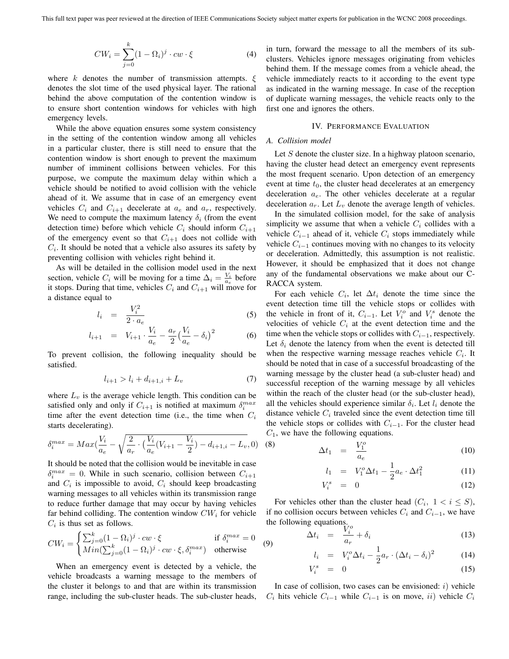$$
CW_i = \sum_{j=0}^{k} (1 - \Omega_i)^j \cdot cw \cdot \xi \tag{4}
$$

where k denotes the number of transmission attempts.  $\xi$ denotes the slot time of the used physical layer. The rational behind the above computation of the contention window is to ensure short contention windows for vehicles with high emergency levels.

While the above equation ensures some system consistency in the setting of the contention window among all vehicles in a particular cluster, there is still need to ensure that the contention window is short enough to prevent the maximum number of imminent collisions between vehicles. For this purpose, we compute the maximum delay within which a vehicle should be notified to avoid collision with the vehicle ahead of it. We assume that in case of an emergency event vehicles  $C_i$  and  $C_{i+1}$  decelerate at  $a_e$  and  $a_r$ , respectively. We need to compute the maximum latency  $\delta_i$  (from the event detection time) before which vehicle  $C_i$  should inform  $C_{i+1}$ of the emergency event so that  $C_{i+1}$  does not collide with  $C_i$ . It should be noted that a vehicle also assures its safety by preventing collision with vehicles right behind it.

As will be detailed in the collision model used in the next section, vehicle  $C_i$  will be moving for a time  $\Delta_i = \frac{V_i}{a_e}$  before it stops. During that time, vehicles  $C_i$  and  $C_{i+1}$  will move for a distance equal to

$$
l_i = \frac{V_i^2}{2 \cdot a_e} \tag{5}
$$

$$
l_{i+1} = V_{i+1} \cdot \frac{V_i}{a_e} - \frac{a_r}{2} \left(\frac{V_i}{a_e} - \delta_i\right)^2 \tag{6}
$$

To prevent collision, the following inequality should be satisfied.

$$
l_{i+1} > l_i + d_{i+1,i} + L_v \tag{7}
$$

where  $L_v$  is the average vehicle length. This condition can be satisfied only and only if  $C_{i+1}$  is notified at maximum  $\delta_i^{max}$ time after the event detection time (i.e., the time when  $C_i$ starts decelerating).

$$
\delta_i^{max} = Max(\frac{V_i}{a_e} - \sqrt{\frac{2}{a_r} \cdot (\frac{V_i}{a_e}(V_{i+1} - \frac{V_i}{2}) - d_{i+1,i} - L_v}, 0)
$$
 (8)

It should be noted that the collision would be inevitable in case  $\delta_i^{max} = 0$ . While in such scenario, collision between  $C_{i+1}$ and  $C_i$  is impossible to avoid,  $C_i$  should keep broadcasting warning messages to all vehicles within its transmission range to reduce further damage that may occur by having vehicles far behind colliding. The contention window  $CW_i$  for vehicle  $C_i$  is thus set as follows.

$$
CW_i = \begin{cases} \sum_{j=0}^k (1 - \Omega_i)^j \cdot cw \cdot \xi & \text{if } \delta_i^{max} = 0\\ Min(\sum_{j=0}^k (1 - \Omega_i)^j \cdot cw \cdot \xi, \delta_i^{max}) & \text{otherwise} \end{cases}
$$
(9)

When an emergency event is detected by a vehicle, the vehicle broadcasts a warning message to the members of the cluster it belongs to and that are within its transmission range, including the sub-cluster heads. The sub-cluster heads, in turn, forward the message to all the members of its subclusters. Vehicles ignore messages originating from vehicles behind them. If the message comes from a vehicle ahead, the vehicle immediately reacts to it according to the event type as indicated in the warning message. In case of the reception of duplicate warning messages, the vehicle reacts only to the first one and ignores the others.

#### IV. PERFORMANCE EVALUATION

# *A. Collision model*

Let  $S$  denote the cluster size. In a highway platoon scenario, having the cluster head detect an emergency event represents the most frequent scenario. Upon detection of an emergency event at time  $t_0$ , the cluster head decelerates at an emergency deceleration  $a_e$ . The other vehicles decelerate at a regular deceleration  $a_r$ . Let  $L_v$  denote the average length of vehicles.

In the simulated collision model, for the sake of analysis simplicity we assume that when a vehicle  $C_i$  collides with a vehicle  $C_{i-1}$  ahead of it, vehicle  $C_i$  stops immediately while vehicle  $C_{i-1}$  continues moving with no changes to its velocity or deceleration. Admittedly, this assumption is not realistic. However, it should be emphasized that it does not change any of the fundamental observations we make about our C-RACCA system.

For each vehicle  $C_i$ , let  $\Delta t_i$  denote the time since the event detection time till the vehicle stops or collides with the vehicle in front of it,  $C_{i-1}$ . Let  $V_i^o$  and  $V_i^s$  denote the velocities of vehicle  $C_i$  at the event detection time and the time when the vehicle stops or collides with  $C_{i-1}$ , respectively. Let  $\delta_i$  denote the latency from when the event is detected till when the respective warning message reaches vehicle  $C_i$ . It should be noted that in case of a successful broadcasting of the warning message by the cluster head (a sub-cluster head) and successful reception of the warning message by all vehicles within the reach of the cluster head (or the sub-cluster head), all the vehicles should experience similar  $\delta_i$ . Let  $l_i$  denote the distance vehicle  $C_i$  traveled since the event detection time till the vehicle stops or collides with  $C_{i-1}$ . For the cluster head  $C_1$ , we have the following equations.

$$
\Delta t_1 = \frac{V_1^o}{a_e} \tag{10}
$$

$$
l_1 = V_1^o \Delta t_1 - \frac{1}{2} a_e \cdot \Delta t_1^2 \tag{11}
$$

$$
V_i^s = 0 \tag{12}
$$

For vehicles other than the cluster head  $(C_i, 1 < i \leq S)$ , if no collision occurs between vehicles  $C_i$  and  $C_{i-1}$ , we have

the following equations.  
\n
$$
\Delta t_i = \frac{V_i^o}{a_r} + \delta_i
$$
\n(13)

$$
l_i = V_i^o \Delta t_i - \frac{1}{2} a_r \cdot (\Delta t_i - \delta_i)^2 \tag{14}
$$

$$
V_i^s = 0 \tag{15}
$$

In case of collision, two cases can be envisioned:  $i)$  vehicle  $C_i$  hits vehicle  $C_{i-1}$  while  $C_{i-1}$  is on move, ii) vehicle  $C_i$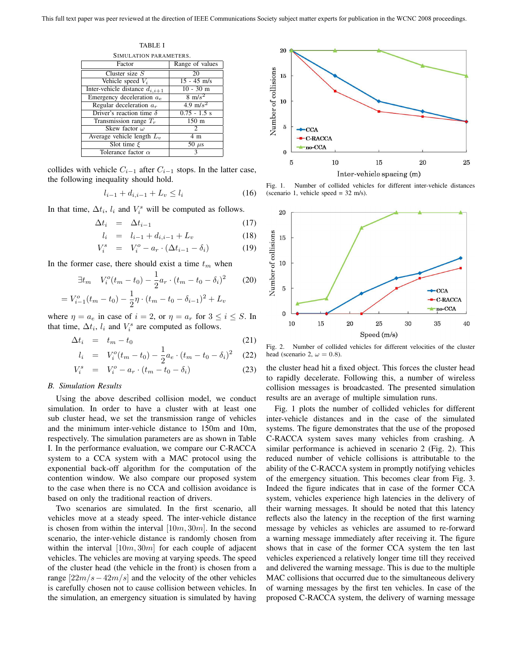TABLE I SIMULATION PARAMETERS. Factor Range of values Cluster size  $S$  20<br>  $\text{Pchicle speed } V_i$  15 - 45 m/s Vehicle speed  $V_i$  15 - 45 m/s<br>
vehicle distance  $d_{i,i+1}$  10 - 30 m Inter-vehicle distance  $d_{i,i+1}$  10 - 30 m<br>Emergency deceleration  $a_e$  8 m/s<sup>2</sup> Emergency deceleration  $a_e$  8 m/s<sup>2</sup><br>Regular deceleration  $a_r$  4.9 m/s<sup>2</sup> Regular deceleration  $a_r$ Driver's reaction time  $\delta$  | 0.75 - 1.5 s Transmission range  $T_r$  150 m Skew factor  $\omega$  2<br>ge vehicle length  $L_v$  4 m Average vehicle length  $L_i$ Slot time  $\xi$  50  $\mu$ s Tolerance factor  $\alpha$  3

collides with vehicle  $C_{i-1}$  after  $C_{i-1}$  stops. In the latter case, the following inequality should hold.

$$
l_{i-1} + d_{i,i-1} + L_v \le l_i \tag{16}
$$

In that time,  $\Delta t_i$ ,  $l_i$  and  $V_i^s$  will be computed as follows.

$$
\Delta t_i = \Delta t_{i-1} \tag{17}
$$

$$
l_i = l_{i-1} + d_{i,i-1} + L_v \tag{18}
$$

$$
V_i^s = V_i^o - a_r \cdot (\Delta t_{i-1} - \delta_i)
$$
 (19)

In the former case, there should exist a time  $t_m$  when

$$
\exists t_m \quad V_i^o(t_m - t_0) - \frac{1}{2} a_r \cdot (t_m - t_0 - \delta_i)^2 \tag{20}
$$

$$
= V_{i-1}^{o}(t_m - t_0) - \frac{1}{2}\eta \cdot (t_m - t_0 - \delta_{i-1})^2 + L_v
$$

where  $\eta = a_e$  in case of  $i = 2$ , or  $\eta = a_r$  for  $3 \le i \le S$ . In that time,  $\Delta t_i$ ,  $l_i$  and  $V_i^s$  are computed as follows.

$$
\Delta t_i = t_m - t_0 \tag{21}
$$

$$
l_i = V_i^o(t_m - t_0) - \frac{1}{2}a_e \cdot (t_m - t_0 - \delta_i)^2 \quad (22)
$$

$$
V_i^s = V_i^o - a_r \cdot (t_m - t_0 - \delta_i)
$$
 (23)

#### *B. Simulation Results*

Using the above described collision model, we conduct simulation. In order to have a cluster with at least one sub cluster head, we set the transmission range of vehicles and the minimum inter-vehicle distance to 150m and 10m, respectively. The simulation parameters are as shown in Table I. In the performance evaluation, we compare our C-RACCA system to a CCA system with a MAC protocol using the exponential back-off algorithm for the computation of the contention window. We also compare our proposed system to the case when there is no CCA and collision avoidance is based on only the traditional reaction of drivers.

Two scenarios are simulated. In the first scenario, all vehicles move at a steady speed. The inter-vehicle distance is chosen from within the interval  $[10m, 30m]$ . In the second scenario, the inter-vehicle distance is randomly chosen from within the interval  $[10m, 30m]$  for each couple of adjacent vehicles. The vehicles are moving at varying speeds. The speed of the cluster head (the vehicle in the front) is chosen from a range  $[22m/s-42m/s]$  and the velocity of the other vehicles is carefully chosen not to cause collision between vehicles. In the simulation, an emergency situation is simulated by having



Fig. 1. Number of collided vehicles for different inter-vehicle distances (scenario 1, vehicle speed = 32 m/s).



Fig. 2. Number of collided vehicles for different velocities of the cluster head (scenario 2,  $\omega = 0.8$ ).

the cluster head hit a fixed object. This forces the cluster head to rapidly decelerate. Following this, a number of wireless collision messages is broadcasted. The presented simulation results are an average of multiple simulation runs.

Fig. 1 plots the number of collided vehicles for different inter-vehicle distances and in the case of the simulated systems. The figure demonstrates that the use of the proposed C-RACCA system saves many vehicles from crashing. A similar performance is achieved in scenario 2 (Fig. 2). This reduced number of vehicle collisions is attributable to the ability of the C-RACCA system in promptly notifying vehicles of the emergency situation. This becomes clear from Fig. 3. Indeed the figure indicates that in case of the former CCA system, vehicles experience high latencies in the delivery of their warning messages. It should be noted that this latency reflects also the latency in the reception of the first warning message by vehicles as vehicles are assumed to re-forward a warning message immediately after receiving it. The figure shows that in case of the former CCA system the ten last vehicles experienced a relatively longer time till they received and delivered the warning message. This is due to the multiple MAC collisions that occurred due to the simultaneous delivery of warning messages by the first ten vehicles. In case of the proposed C-RACCA system, the delivery of warning message